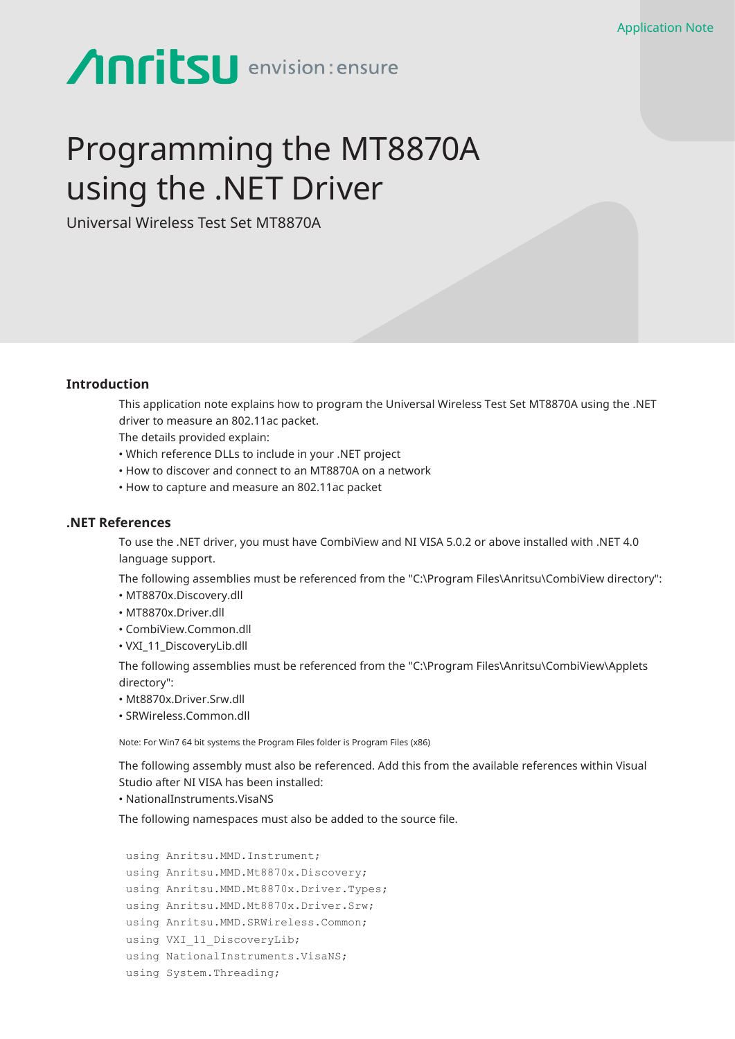# **Anritsu** envision: ensure

# Programming the MT8870A using the .NET Driver

Universal Wireless Test Set MT8870A

## **Introduction**

This application note explains how to program the Universal Wireless Test Set MT8870A using the .NET driver to measure an 802.11ac packet.

The details provided explain:

- Which reference DLLs to include in your .NET project
- How to discover and connect to an MT8870A on a network
- How to capture and measure an 802.11ac packet

#### **.NET References**

To use the .NET driver, you must have CombiView and NI VISA 5.0.2 or above installed with .NET 4.0 language support.

The following assemblies must be referenced from the "C:\Program Files\Anritsu\CombiView directory":

- MT8870x.Discovery.dll
- MT8870x.Driver.dll
- CombiView.Common.dll
- VXI\_11\_DiscoveryLib.dll

The following assemblies must be referenced from the ″C:\Program Files\Anritsu\CombiView\Applets directory″:

- Mt8870x.Driver.Srw.dll
- SRWireless.Common.dll

Note: For Win7 64 bit systems the Program Files folder is Program Files (x86)

The following assembly must also be referenced. Add this from the available references within Visual Studio after NI VISA has been installed:

• NationalInstruments.VisaNS

The following namespaces must also be added to the source file.

```
using Anritsu.MMD.Instrument;
using Anritsu.MMD.Mt8870x.Discovery;
using Anritsu.MMD.Mt8870x.Driver.Types;
using Anritsu.MMD.Mt8870x.Driver.Srw;
using Anritsu.MMD.SRWireless.Common;
using VXI 11 DiscoveryLib;
using NationalInstruments.VisaNS;
using System.Threading;
```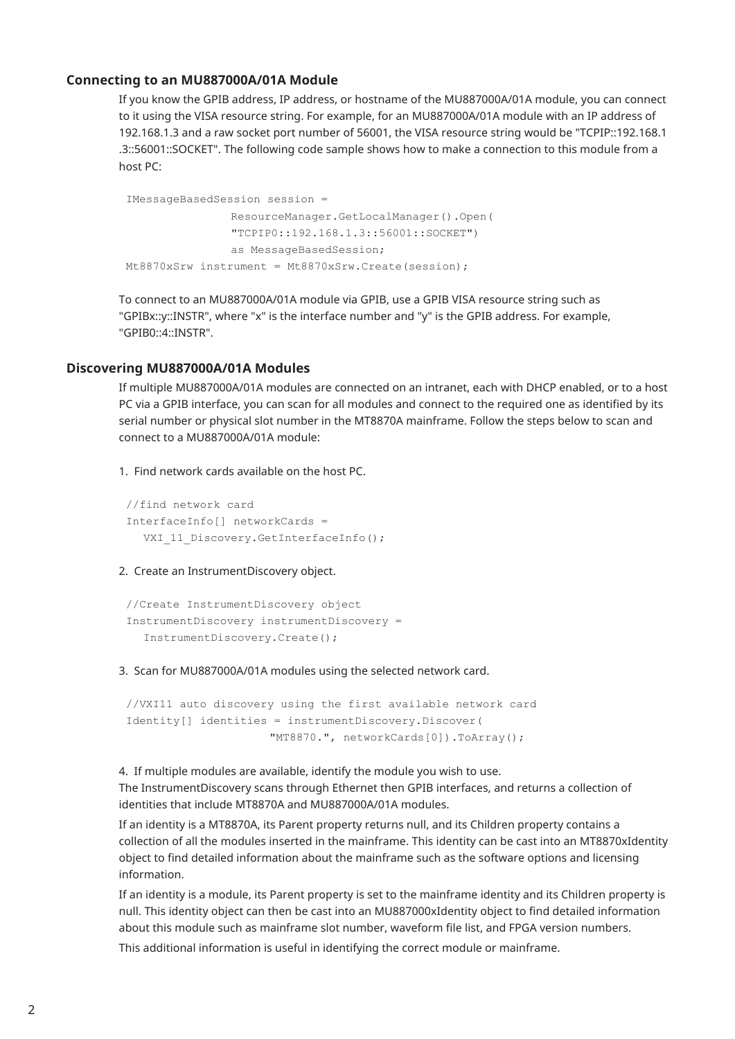#### **Connecting to an MU887000A/01A Module**

If you know the GPIB address, IP address, or hostname of the MU887000A/01A module, you can connect to it using the VISA resource string. For example, for an MU887000A/01A module with an IP address of 192.168.1.3 and a raw socket port number of 56001, the VISA resource string would be "TCPIP::192.168.1 .3::56001::SOCKET". The following code sample shows how to make a connection to this module from a host PC:

```
IMessageBasedSession session =
               ResourceManager.GetLocalManager().Open(
               "TCPIP0::192.168.1.3::56001::SOCKET")
               as MessageBasedSession;
Mt8870xSrw instrument = Mt8870xSrw.Create(session);
```
To connect to an MU887000A/01A module via GPIB, use a GPIB VISA resource string such as "GPIBx::y::INSTR", where "x" is the interface number and "y" is the GPIB address. For example, "GPIB0::4::INSTR".

#### **Discovering MU887000A/01A Modules**

If multiple MU887000A/01A modules are connected on an intranet, each with DHCP enabled, or to a host PC via a GPIB interface, you can scan for all modules and connect to the required one as identified by its serial number or physical slot number in the MT8870A mainframe. Follow the steps below to scan and connect to a MU887000A/01A module:

1. Find network cards available on the host PC.

```
//find network card
InterfaceInfo[] networkCards =
  VXI_11_Discovery.GetInterfaceInfo();
```
2. Create an InstrumentDiscovery object.

```
//Create InstrumentDiscovery object
InstrumentDiscovery instrumentDiscovery =
  InstrumentDiscovery.Create();
```
3. Scan for MU887000A/01A modules using the selected network card.

```
//VXI11 auto discovery using the first available network card
Identity[] identities = instrumentDiscovery.Discover(
                     "MT8870.", networkCards[0]).ToArray();
```
4. If multiple modules are available, identify the module you wish to use. The InstrumentDiscovery scans through Ethernet then GPIB interfaces, and returns a collection of identities that include MT8870A and MU887000A/01A modules.

If an identity is a MT8870A, its Parent property returns null, and its Children property contains a collection of all the modules inserted in the mainframe. This identity can be cast into an MT8870xIdentity object to find detailed information about the mainframe such as the software options and licensing information.

If an identity is a module, its Parent property is set to the mainframe identity and its Children property is null. This identity object can then be cast into an MU887000xIdentity object to find detailed information about this module such as mainframe slot number, waveform file list, and FPGA version numbers.

This additional information is useful in identifying the correct module or mainframe.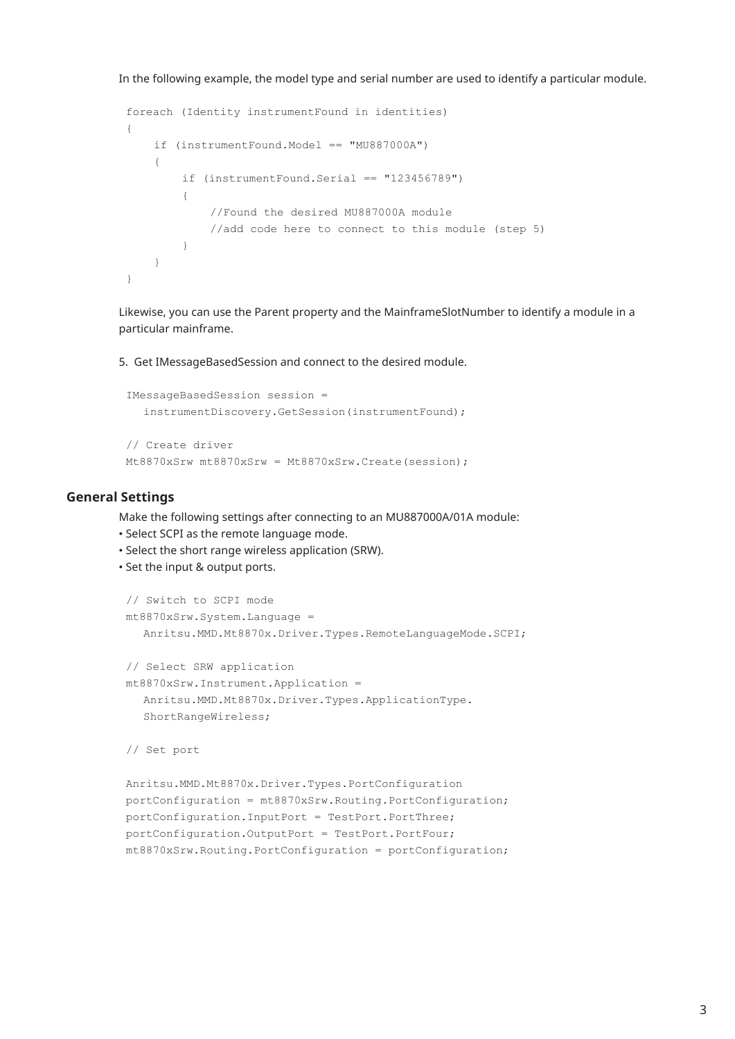In the following example, the model type and serial number are used to identify a particular module.

```
foreach (Identity instrumentFound in identities)
{
    if (instrumentFound.Model == "MU887000A")
    {
        if (instrumentFound.Serial == "123456789"){
            //Found the desired MU887000A module
            //add code here to connect to this module (step 5)
        }
    }
}
```
Likewise, you can use the Parent property and the MainframeSlotNumber to identify a module in a particular mainframe.

5. Get IMessageBasedSession and connect to the desired module.

```
IMessageBasedSession session =
  instrumentDiscovery.GetSession(instrumentFound);
// Create driver
Mt8870xSrw mt8870xSrw = Mt8870xSrw.Create(session);
```
## **General Settings**

Make the following settings after connecting to an MU887000A/01A module:

- Select SCPI as the remote language mode.
- Select the short range wireless application (SRW).
- Set the input & output ports.

```
// Switch to SCPI mode
mt8870xSrw.System.Language =
  Anritsu.MMD.Mt8870x.Driver.Types.RemoteLanguageMode.SCPI;
// Select SRW application
mt8870xSrw.Instrument.Application =
  Anritsu.MMD.Mt8870x.Driver.Types.ApplicationType.
  ShortRangeWireless;
// Set port
Anritsu.MMD.Mt8870x.Driver.Types.PortConfiguration
portConfiguration = mt8870xSrw.Routing.PortConfiguration;
portConfiguration.InputPort = TestPort.PortThree;
portConfiguration.OutputPort = TestPort.PortFour;
mt8870xSrw.Routing.PortConfiguration = portConfiguration;
```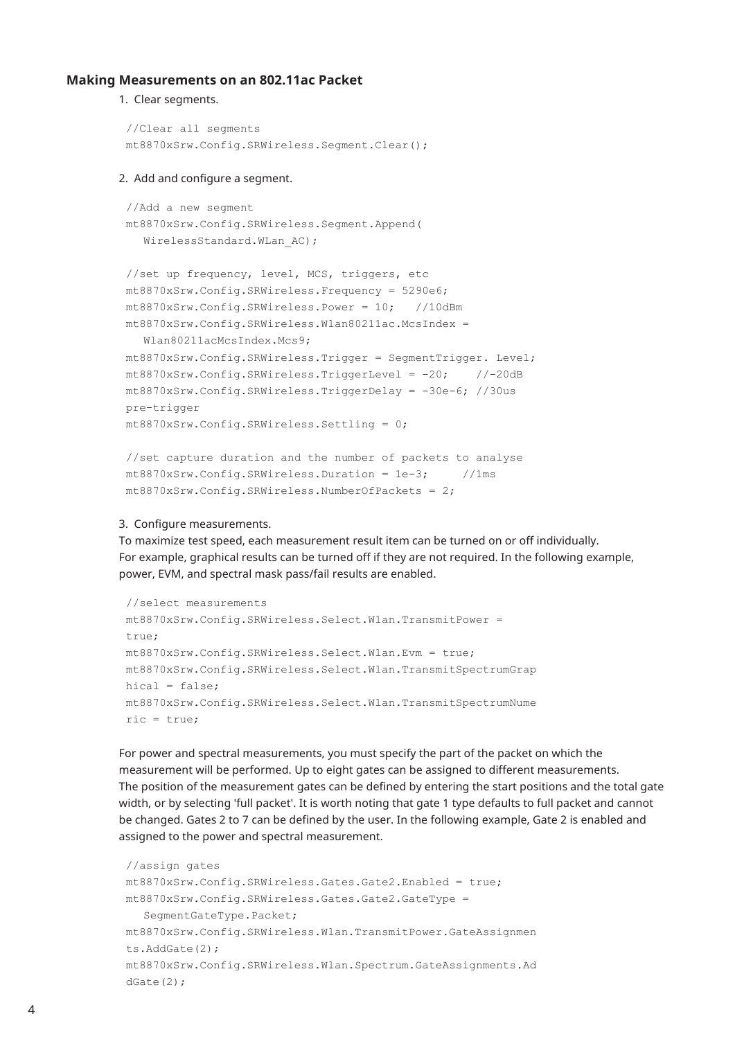#### **Making Measurements on an 802.11ac Packet**

1. Clear segments.

```
//Clear all segments
mt8870xSrw.Config.SRWireless.Segment.Clear();
```
#### 2. Add and configure a segment.

```
//Add a new segment
mt8870xSrw.Config.SRWireless.Segment.Append(
  WirelessStandard.WLan AC);
```

```
//set up frequency, level, MCS, triggers, etc
mt8870xSrw.Config.SRWireless.Frequency = 5290e6;
mt8870xSrw.Config.SRWireless.Power = 10; //10dBm
mt8870xSrw.Config.SRWireless.Wlan80211ac.McsIndex =
```
Wlan80211acMcsIndex.Mcs9;

```
mt8870xSrw.Config.SRWireless.Trigger = SegmentTrigger. Level;
mt8870xSrw.Config.SRWireless.TriggerLevel = -20; //-20dB
mt8870xSrw.Config.SRWireless.TriggerDelay = -30e-6; //30us
pre-trigger
mt8870xSrw.Config.SRWireless.Settling = 0;
```

```
//set capture duration and the number of packets to analyse
mt8870xSrw.Config.SRWireless.Duration = 1e-3; //1ms
mt8870xSrw.Config.SRWireless.NumberOfPackets = 2;
```
#### 3. Configure measurements.

To maximize test speed, each measurement result item can be turned on or off individually. For example, graphical results can be turned off if they are not required. In the following example, power, EVM, and spectral mask pass/fail results are enabled.

```
//select measurements
mt8870xSrw.Config.SRWireless.Select.Wlan.TransmitPower =
true;
mt8870xSrw.Config.SRWireless.Select.Wlan.Evm = true;
mt8870xSrw.Config.SRWireless.Select.Wlan.TransmitSpectrumGrap
hical = false:
mt8870xSrw.Config.SRWireless.Select.Wlan.TransmitSpectrumNume
ric = true;
```
For power and spectral measurements, you must specify the part of the packet on which the measurement will be performed. Up to eight gates can be assigned to different measurements. The position of the measurement gates can be defined by entering the start positions and the total gate width, or by selecting 'full packet'. It is worth noting that gate 1 type defaults to full packet and cannot be changed. Gates 2 to 7 can be defined by the user. In the following example, Gate 2 is enabled and assigned to the power and spectral measurement.

```
//assign gates
mt8870xSrw.Config.SRWireless.Gates.Gate2.Enabled = true;
mt8870xSrw.Config.SRWireless.Gates.Gate2.GateType =
  SegmentGateType.Packet;
mt8870xSrw.Config.SRWireless.Wlan.TransmitPower.GateAssignmen
ts.AddGate(2);
mt8870xSrw.Config.SRWireless.Wlan.Spectrum.GateAssignments.Ad
dGate(2);
```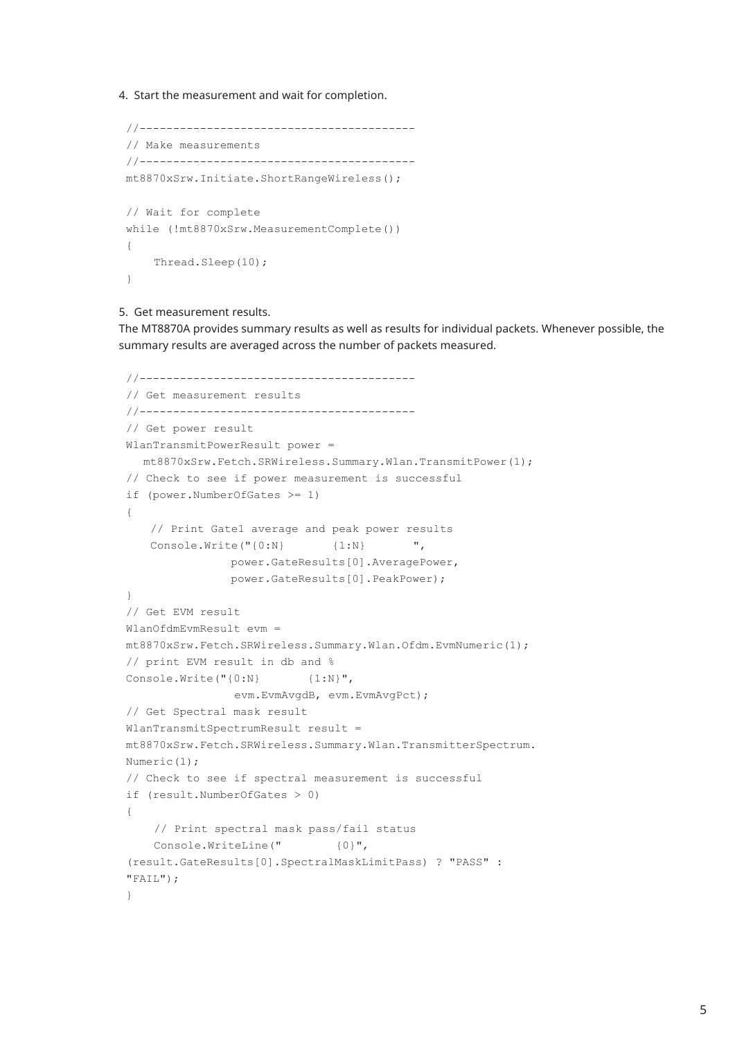4. Start the measurement and wait for completion.

```
//-----------------------------------------
// Make measurements
//-----------------------------------------
mt8870xSrw.Initiate.ShortRangeWireless();
// Wait for complete
while (!mt8870xSrw.MeasurementComplete())
{
    Thread.Sleep(10);
}
```
5. Get measurement results.

The MT8870A provides summary results as well as results for individual packets. Whenever possible, the summary results are averaged across the number of packets measured.

```
//-----------------------------------------
// Get measurement results
//-----------------------------------------
// Get power result
WlanTransmitPowerResult power =
  mt8870xSrw.Fetch.SRWireless.Summary.Wlan.TransmitPower(1);
// Check to see if power measurement is successful
if (power.NumberOfGates >= 1)
{
   // Print Gate1 average and peak power results
   Console.Write("{0:N} {1:N} ",
               power.GateResults[0].AveragePower,
               power.GateResults[0].PeakPower);
}
// Get EVM result
WlanOfdmEvmResult evm =
mt8870xSrw.Fetch.SRWireless.Summary.Wlan.Ofdm.EvmNumeric(1);
// print EVM result in db and %
Console.Write("{0:N} {1:N}",
                evm.EvmAvgdB, evm.EvmAvgPct);
// Get Spectral mask result
WlanTransmitSpectrumResult result =
mt8870xSrw.Fetch.SRWireless.Summary.Wlan.TransmitterSpectrum.
Numeric(1);
// Check to see if spectral measurement is successful
if (result.NumberOfGates > 0)
{
    // Print spectral mask pass/fail status
    Console.WriteLine(" {0}",
(result.GateResults[0].SpectralMaskLimitPass) ? "PASS" :
"FAIL");
}
```